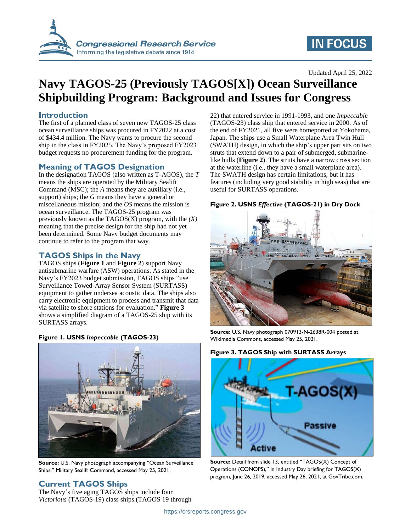

# **IN FOCUS**

### Updated April 25, 2022

# **Navy TAGOS-25 (Previously TAGOS[X]) Ocean Surveillance Shipbuilding Program: Background and Issues for Congress**

## **Introduction**

The first of a planned class of seven new TAGOS-25 class ocean surveillance ships was procured in FY2022 at a cost of \$434.4 million. The Navy wants to procure the second ship in the class in FY2025. The Navy's proposed FY2023 budget requests no procurement funding for the program.

### **Meaning of TAGOS Designation**

In the designation TAGOS (also written as T-AGOS), the *T* means the ships are operated by the Military Sealift Command (MSC); the *A* means they are auxiliary (i.e., support) ships; the *G* means they have a general or miscellaneous mission; and the *OS* means the mission is ocean surveillance. The TAGOS-25 program was previously known as the TAGOS(X) program, with the *(X)* meaning that the precise design for the ship had not yet been determined. Some Navy budget documents may continue to refer to the program that way.

## **TAGOS Ships in the Navy**

TAGOS ships (**[Figure 1](#page-0-0)** and **[Figure 2](#page-0-1)**) support Navy antisubmarine warfare (ASW) operations. As stated in the Navy's FY2023 budget submission, TAGOS ships "use Surveillance Towed-Array Sensor System (SURTASS) equipment to gather undersea acoustic data. The ships also carry electronic equipment to process and transmit that data via satellite to shore stations for evaluation." **[Figure 3](#page-0-2)** shows a simplified diagram of a TAGOS-25 ship with its SURTASS arrays.

<span id="page-0-0"></span>**Figure 1. USNS** *Impeccable* **(TAGOS-23)**



**Source:** U.S. Navy photograph accompanying "Ocean Surveillance Ships," Military Sealift Command, accessed May 25, 2021.

# **Current TAGOS Ships**

The Navy's five aging TAGOS ships include four *Victorious* (TAGOS-19) class ships (TAGOS 19 through 22) that entered service in 1991-1993, and one *Impeccabl*e (TAGOS-23) class ship that entered service in 2000. As of the end of FY2021, all five were homeported at Yokohama, Japan. The ships use a Small Waterplane Area Twin Hull (SWATH) design, in which the ship's upper part sits on two struts that extend down to a pair of submerged, submarinelike hulls (**[Figure 2](#page-0-1)**). The struts have a narrow cross section at the waterline (i.e., they have a small waterplane area). The SWATH design has certain limitations, but it has features (including very good stability in high seas) that are useful for SURTASS operations.

<span id="page-0-1"></span>



**Source:** U.S. Navy photograph 070913-N-2638R-004 posted at Wikimedia Commons, accessed May 25, 2021.

<span id="page-0-2"></span>



**Source:** Detail from slide 13, entitled "TAGOS(X) Concept of Operations (CONOPS)," in Industry Day briefing for TAGOS(X) program, June 26, 2019, accessed May 26, 2021, at GovTribe.com.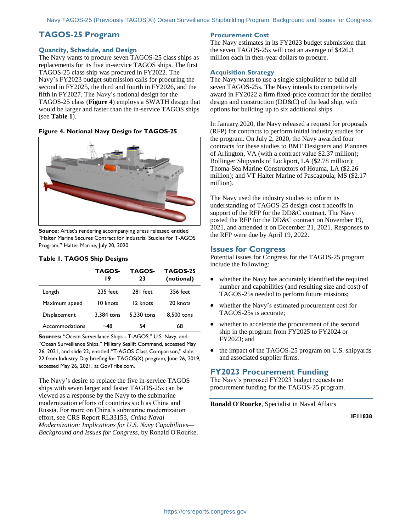# **TAGOS-25 Program**

#### **Quantity, Schedule, and Design**

The Navy wants to procure seven TAGOS-25 class ships as replacements for its five in-service TAGOS ships. The first TAGOS-25 class ship was procured in FY2022. The Navy's FY2023 budget submission calls for procuring the second in FY2025, the third and fourth in FY2026, and the fifth in FY2027. The Navy's notional design for the TAGOS-25 class (**[Figure 4](#page-1-0)**) employs a SWATH design that would be larger and faster than the in-service TAGOS ships (see **[Table 1](#page-1-1)**).

#### <span id="page-1-0"></span>**Figure 4. Notional Navy Design for TAGOS-25**



**Source:** Artist's rendering accompanying press released entitled "Halter Marine Secures Contract for Industrial Studies for T-AGOS Program," Halter Marine, July 20, 2020.

|                | TAGOS-<br>19 | TAGOS-<br>23 | <b>TAGOS-25</b><br>(notional) |
|----------------|--------------|--------------|-------------------------------|
| Length         | $235$ feet   | 281 feet     | 356 feet                      |
| Maximum speed  | 10 knots     | 12 knots     | 20 knots                      |
| Displacement   | 3,384 tons   | 5.330 tons   | 8,500 tons                    |
| Accommodations | ~48          | 54           | 68                            |

## <span id="page-1-1"></span>**Table 1. TAGOS Ship Designs**

**Sources:** "Ocean Surveillance Ships - T-AGOS," U.S. Navy, and "Ocean Surveillance Ships," Military Sealift Command, accessed May 26, 2021, and slide 22, entitled "T-AGOS Class Comparison," slide 22 from Industry Day briefing for TAGOS(X) program, June 26, 2019, accessed May 26, 2021, at GovTribe.com.

The Navy's desire to replace the five in-service TAGOS ships with seven larger and faster TAGOS-25s can be viewed as a response by the Navy to the submarine modernization efforts of countries such as China and Russia. For more on China's submarine modernization effort, see CRS Report RL33153, *China Naval Modernization: Implications for U.S. Navy Capabilities— Background and Issues for Congress*, by Ronald O'Rourke.

#### **Procurement Cost**

The Navy estimates in its FY2023 budget submission that the seven TAGOS-25s will cost an average of \$426.3 million each in then-year dollars to procure.

#### **Acquisition Strategy**

The Navy wants to use a single shipbuilder to build all seven TAGOS-25s. The Navy intends to competitively award in FY2022 a firm fixed-price contract for the detailed design and construction (DD&C) of the lead ship, with options for building up to six additional ships.

In January 2020, the Navy released a request for proposals (RFP) for contracts to perform initial industry studies for the program. On July 2, 2020, the Navy awarded four contracts for these studies to BMT Designers and Planners of Arlington, VA (with a contract value \$2.37 million); Bollinger Shipyards of Lockport, LA (\$2.78 million); Thoma-Sea Marine Constructors of Houma, LA (\$2.26 million); and VT Halter Marine of Pascagoula, MS (\$2.17 million).

The Navy used the industry studies to inform its understanding of TAGOS-25 design-cost tradeoffs in support of the RFP for the DD&C contract. The Navy posted the RFP for the DD&C contract on November 19, 2021, and amended it on December 21, 2021. Responses to the RFP were due by April 19, 2022.

#### **Issues for Congress**

Potential issues for Congress for the TAGOS-25 program include the following:

- whether the Navy has accurately identified the required number and capabilities (and resulting size and cost) of TAGOS-25s needed to perform future missions;
- whether the Navy's estimated procurement cost for TAGOS-25s is accurate;
- whether to accelerate the procurement of the second ship in the program from FY2025 to FY2024 or FY2023; and
- the impact of the TAGOS-25 program on U.S. shipyards and associated supplier firms.

#### **FY2023 Procurement Funding**

The Navy's proposed FY2023 budget requests no procurement funding for the TAGOS-25 program.

**Ronald O'Rourke**, Specialist in Naval Affairs

**IF11838**